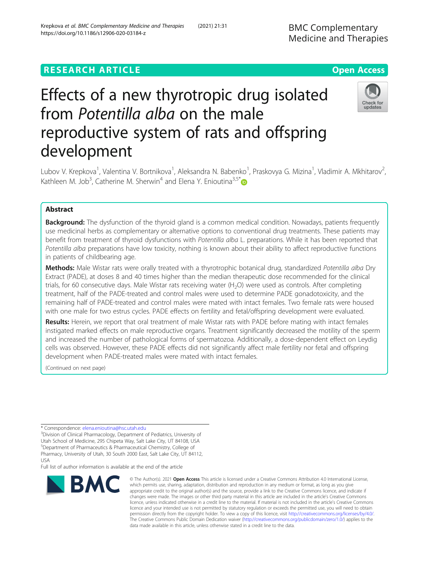## **RESEARCH ARTICLE Example 2014 12:30 The Contract of Contract ACCESS**

# Effects of a new thyrotropic drug isolated from Potentilla alba on the male reproductive system of rats and offspring development

Lubov V. Krepkova<sup>1</sup>, Valentina V. Bortnikova<sup>1</sup>, Aleksandra N. Babenko<sup>1</sup>, Praskovya G. Mizina<sup>1</sup>, Vladimir A. Mkhitarov<sup>2</sup> , Kathleen M. Job<sup>3</sup>, Catherine M. Sherwin<sup>4</sup> and Elena Y. Enioutina<sup>3,5[\\*](http://orcid.org/0000-0003-3738-1460)</sup>

## Abstract

**Background:** The dysfunction of the thyroid gland is a common medical condition. Nowadays, patients frequently use medicinal herbs as complementary or alternative options to conventional drug treatments. These patients may benefit from treatment of thyroid dysfunctions with Potentilla alba L. preparations. While it has been reported that Potentilla alba preparations have low toxicity, nothing is known about their ability to affect reproductive functions in patients of childbearing age.

Methods: Male Wistar rats were orally treated with a thyrotrophic botanical drug, standardized Potentilla alba Dry Extract (PADE), at doses 8 and 40 times higher than the median therapeutic dose recommended for the clinical trials, for 60 consecutive days. Male Wistar rats receiving water  $(H<sub>2</sub>O)$  were used as controls. After completing treatment, half of the PADE-treated and control males were used to determine PADE gonadotoxicity, and the remaining half of PADE-treated and control males were mated with intact females. Two female rats were housed with one male for two estrus cycles. PADE effects on fertility and fetal/offspring development were evaluated.

Results: Herein, we report that oral treatment of male Wistar rats with PADE before mating with intact females instigated marked effects on male reproductive organs. Treatment significantly decreased the motility of the sperm and increased the number of pathological forms of spermatozoa. Additionally, a dose-dependent effect on Leydig cells was observed. However, these PADE effects did not significantly affect male fertility nor fetal and offspring development when PADE-treated males were mated with intact females.

(Continued on next page)

\* Correspondence: [elena.enioutina@hsc.utah.edu](mailto:elena.enioutina@hsc.utah.edu) <sup>3</sup>

**BMC** 

<sup>3</sup>Division of Clinical Pharmacology, Department of Pediatrics, University of Utah School of Medicine, 295 Chipeta Way, Salt Lake City, UT 84108, USA 5 Department of Pharmaceutics & Pharmaceutical Chemistry, College of

Pharmacy, University of Utah, 30 South 2000 East, Salt Lake City, UT 84112, USA

Full list of author information is available at the end of the article

which permits use, sharing, adaptation, distribution and reproduction in any medium or format, as long as you give appropriate credit to the original author(s) and the source, provide a link to the Creative Commons licence, and indicate if changes were made. The images or other third party material in this article are included in the article's Creative Commons licence, unless indicated otherwise in a credit line to the material. If material is not included in the article's Creative Commons licence and your intended use is not permitted by statutory regulation or exceeds the permitted use, you will need to obtain permission directly from the copyright holder. To view a copy of this licence, visit [http://creativecommons.org/licenses/by/4.0/.](http://creativecommons.org/licenses/by/4.0/) The Creative Commons Public Domain Dedication waiver [\(http://creativecommons.org/publicdomain/zero/1.0/](http://creativecommons.org/publicdomain/zero/1.0/)) applies to the data made available in this article, unless otherwise stated in a credit line to the data.

© The Author(s), 2021 **Open Access** This article is licensed under a Creative Commons Attribution 4.0 International License,







BMC Complementary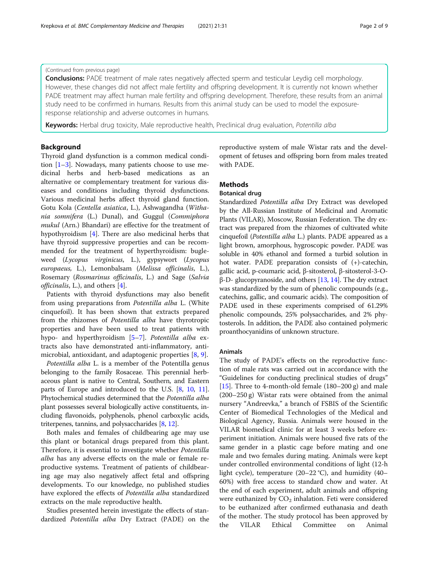## (Continued from previous page)

**Conclusions:** PADE treatment of male rates negatively affected sperm and testicular Leydig cell morphology. However, these changes did not affect male fertility and offspring development. It is currently not known whether PADE treatment may affect human male fertility and offspring development. Therefore, these results from an animal study need to be confirmed in humans. Results from this animal study can be used to model the exposureresponse relationship and adverse outcomes in humans.

Keywords: Herbal drug toxicity, Male reproductive health, Preclinical drug evaluation, Potentilla alba

## Background

Thyroid gland dysfunction is a common medical condition  $[1-3]$  $[1-3]$  $[1-3]$  $[1-3]$ . Nowadays, many patients choose to use medicinal herbs and herb-based medications as an alternative or complementary treatment for various diseases and conditions including thyroid dysfunctions. Various medicinal herbs affect thyroid gland function. Gotu Kola (Centella asiatica, L.), Ashwagandha (Withania somnifera (L.) Dunal), and Guggul (Commiphora mukul (Arn.) Bhandari) are effective for the treatment of hypothyroidism [[4](#page-8-0)]. There are also medicinal herbs that have thyroid suppressive properties and can be recommended for the treatment of hyperthyroidism: bugleweed (Lycopus virginicus, L.), gypsywort (Lycopus europaeus, L.), Lemonbalsam (Melissa officinalis, L.), Rosemary (Rosmarinus officinalis, L.) and Sage (Salvia officinalis, L.), and others [[4\]](#page-8-0).

Patients with thyroid dysfunctions may also benefit from using preparations from Potentilla alba L. (White cinquefoil). It has been shown that extracts prepared from the rhizomes of Potentilla alba have thyrotropic properties and have been used to treat patients with hypo- and hyperthyroidism [\[5](#page-8-0)–[7](#page-8-0)]. Potentilla alba extracts also have demonstrated anti-inflammatory, antimicrobial, antioxidant, and adaptogenic properties [[8,](#page-8-0) [9\]](#page-8-0).

Potentilla alba L. is a member of the Potentilla genus belonging to the family Rosaceae. This perennial herbaceous plant is native to Central, Southern, and Eastern parts of Europe and introduced to the U.S. [\[8,](#page-8-0) [10](#page-8-0), [11](#page-8-0)]. Phytochemical studies determined that the Potentilla alba plant possesses several biologically active constituents, including flavonoids, polyphenols, phenol carboxylic acids, triterpenes, tannins, and polysaccharides [[8,](#page-8-0) [12](#page-8-0)].

Both males and females of childbearing age may use this plant or botanical drugs prepared from this plant. Therefore, it is essential to investigate whether Potentilla alba has any adverse effects on the male or female reproductive systems. Treatment of patients of childbearing age may also negatively affect fetal and offspring developments. To our knowledge, no published studies have explored the effects of Potentilla alba standardized extracts on the male reproductive health.

Studies presented herein investigate the effects of standardized Potentilla alba Dry Extract (PADE) on the

reproductive system of male Wistar rats and the development of fetuses and offspring born from males treated with PADE.

## **Methods**

## Botanical drug

Standardized Potentilla alba Dry Extract was developed by the All-Russian Institute of Medicinal and Aromatic Plants (VILAR), Moscow, Russian Federation. The dry extract was prepared from the rhizomes of cultivated white cinquefoil (Potentilla alba L.) plants. PADE appeared as a light brown, amorphous, hygroscopic powder. PADE was soluble in 40% ethanol and formed a turbid solution in hot water. PADE preparation consists of (+)-catechin, gallic acid, p-coumaric acid, β-sitosterol, β-sitosterol-3-Oβ-D- glucopyranoside, and others [[13](#page-8-0), [14\]](#page-8-0). The dry extract was standardized by the sum of phenolic compounds (e.g., catechins, gallic, and coumaric acids). The composition of PADE used in these experiments comprised of 61.29% phenolic compounds, 25% polysaccharides, and 2% phytosterols. In addition, the PADE also contained polymeric proanthocyanidins of unknown structure.

## Animals

The study of PADE's effects on the reproductive function of male rats was carried out in accordance with the "Guidelines for conducting preclinical studies of drugs" [[15\]](#page-8-0). Three to 4-month-old female  $(180-200 \text{ g})$  and male (200–250 g) Wistar rats were obtained from the animal nursery "Andreevka," a branch of FSBIS of the Scientific Center of Biomedical Technologies of the Medical and Biological Agency, Russia. Animals were housed in the VILAR biomedical clinic for at least 3 weeks before experiment initiation. Animals were housed five rats of the same gender in a plastic cage before mating and one male and two females during mating. Animals were kept under controlled environmental conditions of light (12-h light cycle), temperature (20–22 °C), and humidity (40– 60%) with free access to standard chow and water. At the end of each experiment, adult animals and offspring were euthanized by  $CO<sub>2</sub>$  inhalation. Feti were considered to be euthanized after confirmed euthanasia and death of the mother. The study protocol has been approved by the VILAR Ethical Committee on Animal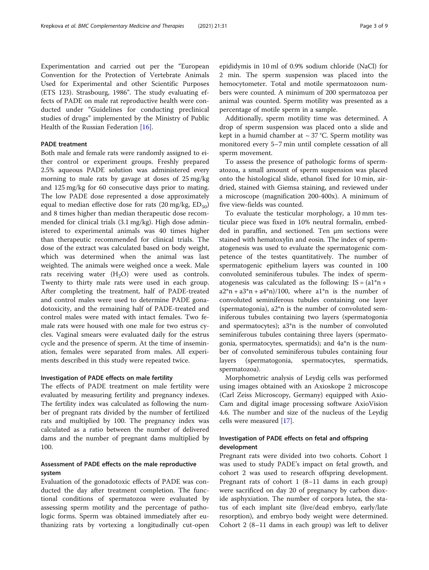Experimentation and carried out per the "European Convention for the Protection of Vertebrate Animals Used for Experimental and other Scientific Purposes (ETS 123). Strasbourg, 1986". The study evaluating effects of PADE on male rat reproductive health were conducted under "Guidelines for conducting preclinical studies of drugs" implemented by the Ministry of Public Health of the Russian Federation [[16](#page-8-0)].

## PADE treatment

Both male and female rats were randomly assigned to either control or experiment groups. Freshly prepared 2.5% aqueous PADE solution was administered every morning to male rats by gavage at doses of 25 mg/kg and 125 mg/kg for 60 consecutive days prior to mating. The low PADE dose represented a dose approximately equal to median effective dose for rats  $(20 \text{ mg/kg}, \text{ED}_{50})$ and 8 times higher than median therapeutic dose recommended for clinical trials (3.1 mg/kg). High dose administered to experimental animals was 40 times higher than therapeutic recommended for clinical trials. The dose of the extract was calculated based on body weight, which was determined when the animal was last weighted. The animals were weighed once a week. Male rats receiving water  $(H_2O)$  were used as controls. Twenty to thirty male rats were used in each group. After completing the treatment, half of PADE-treated and control males were used to determine PADE gonadotoxicity, and the remaining half of PADE-treated and control males were mated with intact females. Two female rats were housed with one male for two estrus cycles. Vaginal smears were evaluated daily for the estrus cycle and the presence of sperm. At the time of insemination, females were separated from males. All experiments described in this study were repeated twice.

#### Investigation of PADE effects on male fertility

The effects of PADE treatment on male fertility were evaluated by measuring fertility and pregnancy indexes. The fertility index was calculated as following the number of pregnant rats divided by the number of fertilized rats and multiplied by 100. The pregnancy index was calculated as a ratio between the number of delivered dams and the number of pregnant dams multiplied by 100.

## Assessment of PADE effects on the male reproductive system

Evaluation of the gonadotoxic effects of PADE was conducted the day after treatment completion. The functional conditions of spermatozoa were evaluated by assessing sperm motility and the percentage of pathologic forms. Sperm was obtained immediately after euthanizing rats by vortexing a longitudinally cut-open

epididymis in 10 ml of 0.9% sodium chloride (NaCl) for 2 min. The sperm suspension was placed into the hemocytometer. Total and motile spermatozoon numbers were counted. A minimum of 200 spermatozoa per animal was counted. Sperm motility was presented as a percentage of motile sperm in a sample.

Additionally, sperm motility time was determined. A drop of sperm suspension was placed onto a slide and kept in a humid chamber at  $\sim$  37 °C. Sperm motility was monitored every 5–7 min until complete cessation of all sperm movement.

To assess the presence of pathologic forms of spermatozoa, a small amount of sperm suspension was placed onto the histological slide, ethanol fixed for 10 min, airdried, stained with Giemsa staining, and reviewed under a microscope (magnification 200-400x). A minimum of five view-fields was counted.

To evaluate the testicular morphology, a 10 mm testicular piece was fixed in 10% neutral formalin, embedded in paraffin, and sectioned. Ten μm sections were stained with hematoxylin and eosin. The index of spermatogenesis was used to evaluate the spermatogenic competence of the testes quantitatively. The number of spermatogenic epithelium layers was counted in 100 convoluted seminiferous tubules. The index of spermatogenesis was calculated as the following:  $IS = (a1<sup>*</sup>n + a1)<sup>*</sup>$  $a2*n + a3*n + a4*n)/100$ , where  $a1*n$  is the number of convoluted seminiferous tubules containing one layer (spermatogonia), a2\*n is the number of convoluted seminiferous tubules containing two layers (spermatogonia and spermatocytes); a3\*n is the number of convoluted seminiferous tubules containing three layers (spermatogonia, spermatocytes, spermatids); and 4a\*n is the number of convoluted seminiferous tubules containing four layers (spermatogonia, spermatocytes, spermatids, spermatozoa).

Morphometric analysis of Leydig cells was performed using images obtained with an Axioskope 2 microscope (Carl Zeiss Microscopy, Germany) equipped with Axio-Cam and digital image processing software AxioVision 4.6. The number and size of the nucleus of the Leydig cells were measured [\[17\]](#page-8-0).

## Investigation of PADE effects on fetal and offspring development

Pregnant rats were divided into two cohorts. Cohort 1 was used to study PADE's impact on fetal growth, and cohort 2 was used to research offspring development. Pregnant rats of cohort 1 (8–11 dams in each group) were sacrificed on day 20 of pregnancy by carbon dioxide asphyxiation. The number of corpora lutea, the status of each implant site (live/dead embryo, early/late resorption), and embryo body weight were determined. Cohort 2 (8–11 dams in each group) was left to deliver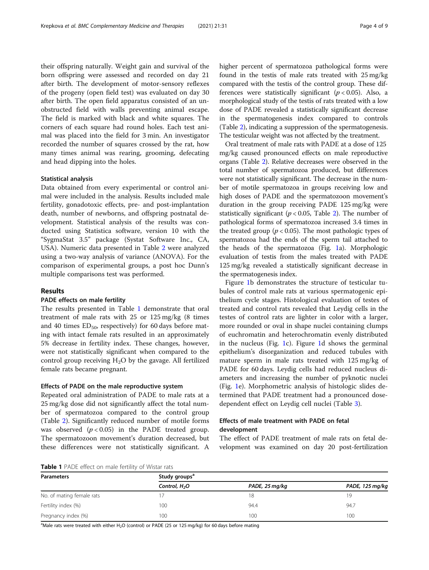their offspring naturally. Weight gain and survival of the born offspring were assessed and recorded on day 21 after birth. The development of motor-sensory reflexes of the progeny (open field test) was evaluated on day 30 after birth. The open field apparatus consisted of an unobstructed field with walls preventing animal escape. The field is marked with black and white squares. The corners of each square had round holes. Each test animal was placed into the field for 3 min. An investigator recorded the number of squares crossed by the rat, how many times animal was rearing, grooming, defecating and head dipping into the holes.

#### Statistical analysis

Data obtained from every experimental or control animal were included in the analysis. Results included male fertility, gonadotoxic effects, pre- and post-implantation death, number of newborns, and offspring postnatal development. Statistical analysis of the results was conducted using Statistica software, version 10 with the "SygmaStat 3.5" package (Systat Software Inc., CA, USA). Numeric data presented in Table [2](#page-4-0) were analyzed using a two-way analysis of variance (ANOVA). For the comparison of experimental groups, a post hoc Dunn's multiple comparisons test was performed.

## Results

#### PADE effects on male fertility

The results presented in Table 1 demonstrate that oral treatment of male rats with 25 or 125 mg/kg (8 times and 40 times  $ED_{50}$ , respectively) for 60 days before mating with intact female rats resulted in an approximately 5% decrease in fertility index. These changes, however, were not statistically significant when compared to the control group receiving  $H_2O$  by the gavage. All fertilized female rats became pregnant.

## Effects of PADE on the male reproductive system

Repeated oral administration of PADE to male rats at a 25 mg/kg dose did not significantly affect the total number of spermatozoa compared to the control group (Table [2](#page-4-0)). Significantly reduced number of motile forms was observed  $(p < 0.05)$  in the PADE treated group. The spermatozoon movement's duration decreased, but these differences were not statistically significant. A higher percent of spermatozoa pathological forms were found in the testis of male rats treated with 25 mg/kg compared with the testis of the control group. These differences were statistically significant ( $p < 0.05$ ). Also, a morphological study of the testis of rats treated with a low dose of PADE revealed a statistically significant decrease in the spermatogenesis index compared to controls (Table [2\)](#page-4-0), indicating a suppression of the spermatogenesis. The testicular weight was not affected by the treatment.

Oral treatment of male rats with PADE at a dose of 125 mg/kg caused pronounced effects on male reproductive organs (Table [2\)](#page-4-0). Relative decreases were observed in the total number of spermatozoa produced, but differences were not statistically significant. The decrease in the number of motile spermatozoa in groups receiving low and high doses of PADE and the spermatozoon movement's duration in the group receiving PADE 125 mg/kg were statistically significant ( $p < 0.05$ , Table [2](#page-4-0)). The number of pathological forms of spermatozoa increased 3.4 times in the treated group ( $p < 0.05$ ). The most pathologic types of spermatozoa had the ends of the sperm tail attached to the heads of the spermatozoa (Fig. [1a](#page-4-0)). Morphologic evaluation of testis from the males treated with PADE 125 mg/kg revealed a statistically significant decrease in the spermatogenesis index.

Figure [1](#page-4-0)b demonstrates the structure of testicular tubules of control male rats at various spermatogenic epithelium cycle stages. Histological evaluation of testes of treated and control rats revealed that Leydig cells in the testes of control rats are lighter in color with a larger, more rounded or oval in shape nuclei containing clumps of euchromatin and heterochromatin evenly distributed in the nucleus (Fig. [1](#page-4-0)c). Figure [1](#page-4-0)d shows the germinal epithelium's disorganization and reduced tubules with mature sperm in male rats treated with 125 mg/kg of PADE for 60 days. Leydig cells had reduced nucleus diameters and increasing the number of pyknotic nuclei (Fig. [1](#page-4-0)e). Morphometric analysis of histologic slides determined that PADE treatment had a pronounced dosedependent effect on Leydig cell nuclei (Table [3](#page-5-0)).

## Effects of male treatment with PADE on fetal development

The effect of PADE treatment of male rats on fetal development was examined on day 20 post-fertilization

Table 1 PADE effect on male fertility of Wistar rats

| <b>Parameters</b>         | Study groups <sup>a</sup> |                |                 |  |
|---------------------------|---------------------------|----------------|-----------------|--|
|                           | Control, H <sub>2</sub> O | PADE, 25 mg/kg | PADE, 125 mg/kg |  |
| No. of mating female rats |                           | 18             | 19              |  |
| Fertility index (%)       | 100                       | 94.4           | 94.7            |  |
| Pregnancy index (%)       | 100                       | 100            | 100             |  |

 $^{\text{a}}$ Male rats were treated with either H<sub>2</sub>O (control) or PADE (25 or 125 mg/kg) for 60 days before mating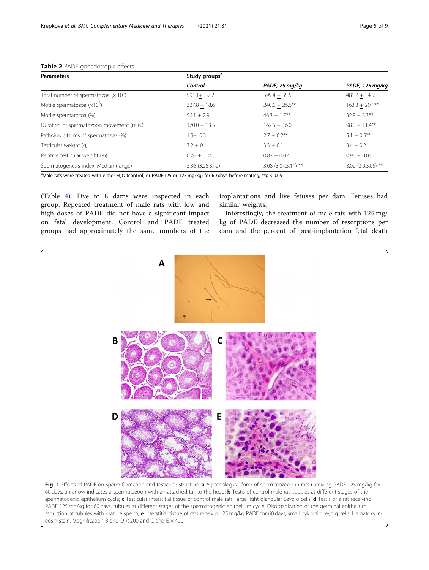| <b>Parameters</b>                                        | Study groups <sup>a</sup> |                        |                      |  |
|----------------------------------------------------------|---------------------------|------------------------|----------------------|--|
|                                                          | Control                   | PADE, 25 mg/kg         | PADE, 125 mg/kg      |  |
| Total number of spermatozoa ( $\times$ 10 <sup>o</sup> ) | $591.1 + 37.2$            | $599.4 + 35.5$         | $481.2 + 54.5$       |  |
| Motile spermatozoa $(x10^6)$                             | $327.8 + 18.6$            | $240.6 + 26.6$ **      | $163.3 + 29.1***$    |  |
| Motile spermatozoa (%)                                   | $56.1 + 2.9$              | $46.3 + 1.7**$         | $32.8 + 3.3**$       |  |
| Duration of spermatozoon movement (min.)                 | $170.0 + 13.5$            | $162.5 + 16.0$         | $98.0 + 11.4**$      |  |
| Pathologic forms of spermatozoa (%)                      | $1.5+0.3$                 | $2.7 + 0.2$ **         | $5.1 + 0.5***$       |  |
| Testicular weight (g)                                    | $3.2 + 0.1$               | $3.3 + 0.1$            | $3.4 + 0.2$          |  |
| Relative testicular weight (%)                           | $0.76 + 0.04$             | $0.82 + 0.02$          | $0.90 + 0.04$        |  |
| Spermatogenesis index, Median (range)                    | 3.36 (3.28,3.42)          | $3.08$ (3.04, 3.11) ** | $3.02$ (3.0,3.05) ** |  |

## <span id="page-4-0"></span>Table 2 PADE gonadotropic effects

<sup>a</sup>Male rats were treated with either H<sub>2</sub>O (control) or PADE (25 or 125 mg/kg) for 60 days before mating;  $**p < 0.05$ 

(Table [4\)](#page-5-0). Five to 8 dams were inspected in each group. Repeated treatment of male rats with low and high doses of PADE did not have a significant impact on fetal development. Control and PADE treated groups had approximately the same numbers of the

implantations and live fetuses per dam. Fetuses had similar weights.

Interestingly, the treatment of male rats with 125 mg/ kg of PADE decreased the number of resorptions per dam and the percent of post-implantation fetal death



spermatogenic epithelium cycle; c Testicular interstitial tissue of control male rats, large light glandular Leydig cells; d Testis of a rat receiving PADE 125 mg/kg for 60 days, tubules at different stages of the spermatogenic epithelium cycle, Disorganization of the germinal epithelium, reduction of tubules with mature sperm; e Interstitial tissue of rats receiving 25 mg/kg PADE for 60 days, small pyknotic Leydig cells. Hematoxylineosin stain. Magnification B and  $D \times 200$  and C and E  $\times$  400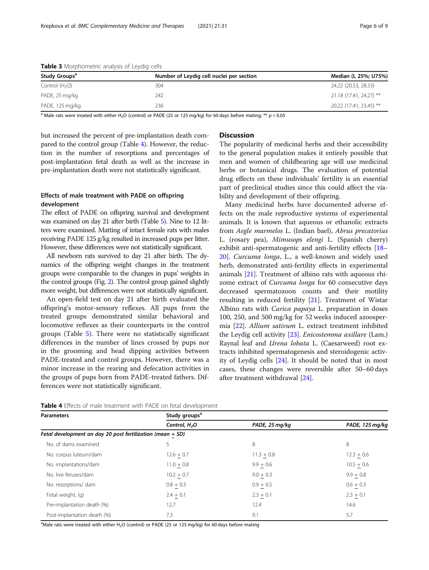| Study Groups <sup>a</sup> | Number of Leydig cell nuclei per section | Median (L 25%; U75%)    |
|---------------------------|------------------------------------------|-------------------------|
| Control $(H2O)$           | 304                                      | 24.22 (20.53, 28.33)    |
| PADE, 25 mg/kg            | 242                                      | 21.18 (17.41, 24.27) ** |
| PADE, 125 mg/kg           | 236                                      | 20.22 (17.41; 23.45) ** |

<span id="page-5-0"></span>Table 3 Morphometric analysis of Leydig cells

<sup>a</sup> Male rats were treated with either H<sub>2</sub>O (control) or PADE (25 or 125 mg/kg) for 60 days before mating; \*\*  $p < 0.05$ 

but increased the percent of pre-implantation death compared to the control group (Table 4). However, the reduction in the number of resorptions and percentages of post-implantation fetal death as well as the increase in pre-implantation death were not statistically significant.

## Effects of male treatment with PADE on offspring development

The effect of PADE on offspring survival and development was examined on day 21 after birth (Table [5\)](#page-6-0). Nine to 12 litters were examined. Matting of intact female rats with males receiving PADE 125 g/kg resulted in increased pups per litter. However, these differences were not statistically significant.

All newborn rats survived to day 21 after birth. The dynamics of the offspring weight changes in the treatment groups were comparable to the changes in pups' weights in the control groups (Fig. [2](#page-6-0)). The control group gained slightly more weight, but differences were not statistically significant.

An open-field test on day 21 after birth evaluated the offspring's motor-sensory reflexes. All pups from the treated groups demonstrated similar behavioral and locomotive reflexes as their counterparts in the control groups (Table [5\)](#page-6-0). There were no statistically significant differences in the number of lines crossed by pups nor in the grooming and head dipping activities between PADE-treated and control groups. However, there was a minor increase in the rearing and defecation activities in the groups of pups born from PADE-treated fathers. Differences were not statistically significant.

## **Discussion**

The popularity of medicinal herbs and their accessibility to the general population makes it entirely possible that men and women of childbearing age will use medicinal herbs or botanical drugs. The evaluation of potential drug effects on these individuals' fertility is an essential part of preclinical studies since this could affect the viability and development of their offspring.

Many medicinal herbs have documented adverse effects on the male reproductive systems of experimental animals. It is known that aqueous or ethanolic extracts from Aegle marmelos L. (Indian bael), Abrus precatorius L. (rosary pea), Mimusops elengi L. (Spanish cherry) exhibit anti-spermatogenic and anti-fertility effects [[18](#page-8-0)– [20\]](#page-8-0). Curcuma longa, L., a well-known and widely used herb, demonstrated anti-fertility effects in experimental animals [\[21](#page-8-0)]. Treatment of albino rats with aqueous rhizome extract of Curcuma longa for 60 consecutive days decreased spermatozoon counts and their motility resulting in reduced fertility [\[21](#page-8-0)]. Treatment of Wistar Albino rats with Carica papaya L. preparation in doses 100, 250, and 500 mg/kg for 52 weeks induced azoospermia [[22\]](#page-8-0). Allium sativum L. extract treatment inhibited the Leydig cell activity [[23](#page-8-0)]. Enicostemma axillare (Lam.) Raynal leaf and Urena lobata L. (Caesarweed) root extracts inhibited spermatogenesis and steroidogenic activity of Leydig cells [[24\]](#page-8-0). It should be noted that in most cases, these changes were reversible after 50–60 days after treatment withdrawal [\[24](#page-8-0)].

| <b>Parameters</b>                                            | Study groups <sup>a</sup> |                |                 |  |
|--------------------------------------------------------------|---------------------------|----------------|-----------------|--|
|                                                              | Control, $H2O$            | PADE, 25 mg/kg | PADE, 125 mg/kg |  |
| Fetal development on day 20 post fertilization (mean $+$ SD) |                           |                |                 |  |
| No. of dams examined                                         |                           | 8              | 8               |  |
| No. corpus luteum/dam                                        | $12.6 + 0.7$              | $11.3 + 0.8$   | $12.3 + 0.6$    |  |
| No. implantations/dam                                        | $11.0 + 0.8$              | $9.9 + 0.6$    | $10.5 + 0.6$    |  |
| No. live fetuses/dam                                         | $10.2 + 0.7$              | $9.0 + 0.3$    | $9.9 + 0.8$     |  |
| No. resorptions/ dam                                         | $0.8 + 0.3$               | $0.9 + 0.5$    | $0.6 + 0.3$     |  |
| Fetal weight, (g)                                            | $2.4 + 0.1$               | $2.3 + 0.1$    | $2.3 + 0.1$     |  |
| Pre-implantation death (%)                                   | 12.7                      | 12.4           | 14.6            |  |
| Post-implantation death (%)                                  | 7.3                       | 9.1            | 5.7             |  |

Table 4 Effects of male treatment with PADE on fetal development

<sup>a</sup>Male rats were treated with either H<sub>2</sub>O (control) or PADE (25 or 125 mg/kg) for 60 days before mating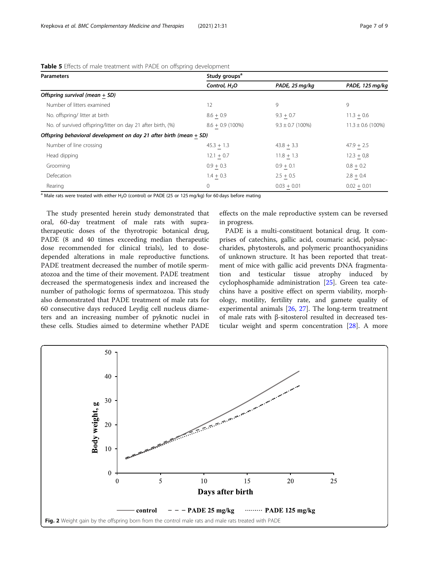| <b>Parameters</b>                                                    | Study groups <sup>a</sup> |                      |                       |  |
|----------------------------------------------------------------------|---------------------------|----------------------|-----------------------|--|
|                                                                      | Control, H <sub>2</sub> O | PADE, 25 mg/kg       | PADE, 125 mg/kg       |  |
| Offspring survival (mean + SD)                                       |                           |                      |                       |  |
| Number of litters examined                                           | 12                        | 9                    | 9                     |  |
| No. offspring/litter at birth                                        | $8.6 + 0.9$               | $9.3 + 0.7$          | $11.3 + 0.6$          |  |
| No. of survived offspring/litter on day 21 after birth, (%)          | $8.6 + 0.9(100\%)$        | $9.3 \pm 0.7$ (100%) | $11.3 \pm 0.6$ (100%) |  |
| Offspring behavioral development on day 21 after birth (mean $+$ SD) |                           |                      |                       |  |
| Number of line crossing                                              | $45.3 + 1.3$              | $43.8 + 3.3$         | $47.9 + 2.5$          |  |
| Head dipping                                                         | $12.1 + 0.7$              | $11.8 + 1.3$         | $12.3 + 0.8$          |  |
| Grooming                                                             | $0.9 + 0.3$               | $0.9 + 0.1$          | $0.8 + 0.2$           |  |
| Defecation                                                           | $1.4 + 0.3$               | $2.5 + 0.5$          | $2.8 + 0.4$           |  |
| Rearing                                                              | 0                         | $0.03 + 0.01$        | $0.02 + 0.01$         |  |

<span id="page-6-0"></span>Table 5 Effects of male treatment with PADE on offspring development

<sup>a</sup> Male rats were treated with either H<sub>2</sub>O (control) or PADE (25 or 125 mg/kg) for 60 days before mating

The study presented herein study demonstrated that oral, 60-day treatment of male rats with supratherapeutic doses of the thyrotropic botanical drug, PADE (8 and 40 times exceeding median therapeutic dose recommended for clinical trials), led to dosedepended alterations in male reproductive functions. PADE treatment decreased the number of motile spermatozoa and the time of their movement. PADE treatment decreased the spermatogenesis index and increased the number of pathologic forms of spermatozoa. This study also demonstrated that PADE treatment of male rats for 60 consecutive days reduced Leydig cell nucleus diameters and an increasing number of pyknotic nuclei in these cells. Studies aimed to determine whether PADE effects on the male reproductive system can be reversed in progress.

PADE is a multi-constituent botanical drug. It comprises of catechins, gallic acid, coumaric acid, polysaccharides, phytosterols, and polymeric proanthocyanidins of unknown structure. It has been reported that treatment of mice with gallic acid prevents DNA fragmentation and testicular tissue atrophy induced by cyclophosphamide administration [\[25](#page-8-0)]. Green tea catechins have a positive effect on sperm viability, morphology, motility, fertility rate, and gamete quality of experimental animals [[26,](#page-8-0) [27](#page-8-0)]. The long-term treatment of male rats with β-sitosterol resulted in decreased testicular weight and sperm concentration [\[28](#page-8-0)]. A more

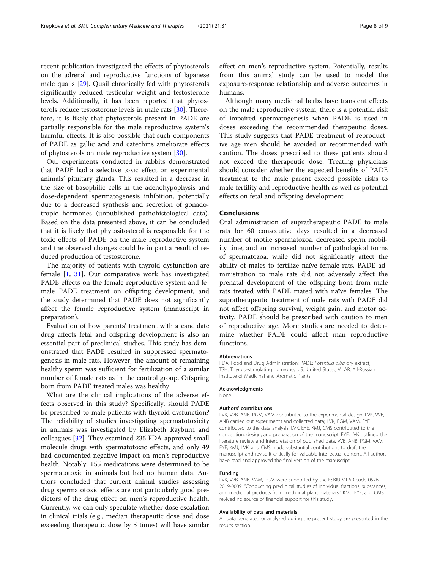recent publication investigated the effects of phytosterols on the adrenal and reproductive functions of Japanese male quails [\[29](#page-8-0)]. Quail chronically fed with phytosterols significantly reduced testicular weight and testosterone levels. Additionally, it has been reported that phytosterols reduce testosterone levels in male rats [[30](#page-8-0)]. Therefore, it is likely that phytosterols present in PADE are partially responsible for the male reproductive system's harmful effects. It is also possible that such components of PADE as gallic acid and catechins ameliorate effects of phytosterols on male reproductive system [[30](#page-8-0)].

Our experiments conducted in rabbits demonstrated that PADE had a selective toxic effect on experimental animals' pituitary glands. This resulted in a decrease in the size of basophilic cells in the adenohypophysis and dose-dependent spermatogenesis inhibition, potentially due to a decreased synthesis and secretion of gonadotropic hormones (unpublished pathohistological data). Based on the data presented above, it can be concluded that it is likely that phytositosterol is responsible for the toxic effects of PADE on the male reproductive system and the observed changes could be in part a result of reduced production of testosterone.

The majority of patients with thyroid dysfunction are female [\[1](#page-8-0), [31\]](#page-8-0). Our comparative work has investigated PADE effects on the female reproductive system and female PADE treatment on offspring development, and the study determined that PADE does not significantly affect the female reproductive system (manuscript in preparation).

Evaluation of how parents' treatment with a candidate drug affects fetal and offspring development is also an essential part of preclinical studies. This study has demonstrated that PADE resulted in suppressed spermatogenesis in male rats. However, the amount of remaining healthy sperm was sufficient for fertilization of a similar number of female rats as in the control group. Offspring born from PADE treated males was healthy.

What are the clinical implications of the adverse effects observed in this study? Specifically, should PADE be prescribed to male patients with thyroid dysfunction? The reliability of studies investigating spermatotoxicity in animals was investigated by Elizabeth Rayburn and colleagues [\[32](#page-8-0)]. They examined 235 FDA-approved small molecule drugs with spermatotoxic effects, and only 49 had documented negative impact on men's reproductive health. Notably, 155 medications were determined to be spermatotoxic in animals but had no human data. Authors concluded that current animal studies assessing drug spermatotoxic effects are not particularly good predictors of the drug effect on men's reproductive health. Currently, we can only speculate whether dose escalation in clinical trials (e.g., median therapeutic dose and dose exceeding therapeutic dose by 5 times) will have similar

effect on men's reproductive system. Potentially, results from this animal study can be used to model the exposure-response relationship and adverse outcomes in humans.

Although many medicinal herbs have transient effects on the male reproductive system, there is a potential risk of impaired spermatogenesis when PADE is used in doses exceeding the recommended therapeutic doses. This study suggests that PADE treatment of reproductive age men should be avoided or recommended with caution. The doses prescribed to these patients should not exceed the therapeutic dose. Treating physicians should consider whether the expected benefits of PADE treatment to the male parent exceed possible risks to male fertility and reproductive health as well as potential effects on fetal and offspring development.

## Conclusions

Oral administration of supratherapeutic PADE to male rats for 60 consecutive days resulted in a decreased number of motile spermatozoa, decreased sperm mobility time, and an increased number of pathological forms of spermatozoa, while did not significantly affect the ability of males to fertilize naïve female rats. PADE administration to male rats did not adversely affect the prenatal development of the offspring born from male rats treated with PADE mated with naïve females. The supratherapeutic treatment of male rats with PADE did not affect offspring survival, weight gain, and motor activity. PADE should be prescribed with caution to men of reproductive age. More studies are needed to determine whether PADE could affect man reproductive functions.

#### Abbreviations

FDA: Food and Drug Administration; PADE: Potentilla alba dry extract; TSH: Thyroid-stimulating hormone; U.S.: United States; VILAR: All-Russian Institute of Medicinal and Aromatic Plants

#### Acknowledgments

None.

#### Authors' contributions

LVK, VVB, ANB, PGM, VAM contributed to the experimental design; LVK, VVB, ANB carried out experiments and collected data; LVK, PGM, VAM, EYE contributed to the data analysis; LVK, EYE, KMJ, CMS contributed to the conception, design, and preparation of the manuscript. EYE, LVK outlined the literature review and interpretation of published data. VVB, ANB, PGM, VAM, EYE, KMJ, LVK, and CMS made substantial contributions to draft the manuscript and revise it critically for valuable intellectual content. All authors have read and approved the final version of the manuscript.

#### Funding

LVK, VVB, ANB, VAM, PGM were supported by the FSBIU VILAR code 0576– 2019-0009. "Conducting preclinical studies of individual fractions, substances, and medicinal products from medicinal plant materials." KMJ, EYE, and CMS revived no source of financial support for this study.

#### Availability of data and materials

All data generated or analyzed during the present study are presented in the results section.